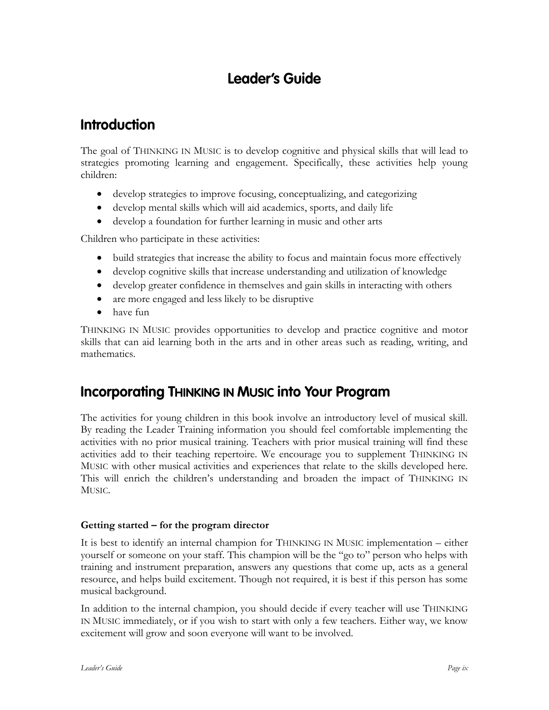# **Leader's Guide**

# **Introduction**

The goal of THINKING IN MUSIC is to develop cognitive and physical skills that will lead to strategies promoting learning and engagement. Specifically, these activities help young children:

- develop strategies to improve focusing, conceptualizing, and categorizing
- develop mental skills which will aid academics, sports, and daily life
- develop a foundation for further learning in music and other arts

Children who participate in these activities:

- build strategies that increase the ability to focus and maintain focus more effectively
- develop cognitive skills that increase understanding and utilization of knowledge
- develop greater confidence in themselves and gain skills in interacting with others
- are more engaged and less likely to be disruptive
- have fun

THINKING IN MUSIC provides opportunities to develop and practice cognitive and motor skills that can aid learning both in the arts and in other areas such as reading, writing, and mathematics.

### **Incorporating THINKING IN MUSIC into Your Program**

The activities for young children in this book involve an introductory level of musical skill. By reading the Leader Training information you should feel comfortable implementing the activities with no prior musical training. Teachers with prior musical training will find these activities add to their teaching repertoire. We encourage you to supplement THINKING IN MUSIC with other musical activities and experiences that relate to the skills developed here. This will enrich the children's understanding and broaden the impact of THINKING IN MUSIC.

### **Getting started – for the program director**

It is best to identify an internal champion for THINKING IN MUSIC implementation – either yourself or someone on your staff. This champion will be the "go to" person who helps with training and instrument preparation, answers any questions that come up, acts as a general resource, and helps build excitement. Though not required, it is best if this person has some musical background.

In addition to the internal champion, you should decide if every teacher will use THINKING IN MUSIC immediately, or if you wish to start with only a few teachers. Either way, we know excitement will grow and soon everyone will want to be involved.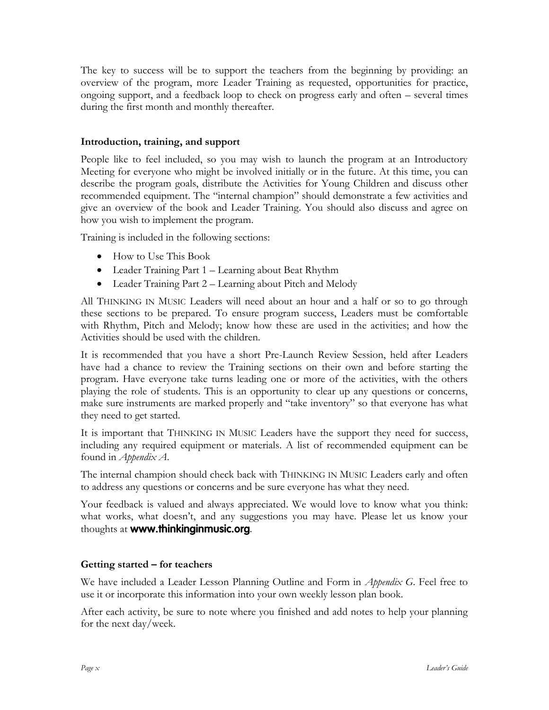The key to success will be to support the teachers from the beginning by providing: an overview of the program, more Leader Training as requested, opportunities for practice, ongoing support, and a feedback loop to check on progress early and often – several times during the first month and monthly thereafter.

#### **Introduction, training, and support**

People like to feel included, so you may wish to launch the program at an Introductory Meeting for everyone who might be involved initially or in the future. At this time, you can describe the program goals, distribute the Activities for Young Children and discuss other recommended equipment. The "internal champion" should demonstrate a few activities and give an overview of the book and Leader Training. You should also discuss and agree on how you wish to implement the program.

Training is included in the following sections:

- How to Use This Book
- Leader Training Part 1 Learning about Beat Rhythm
- Leader Training Part 2 Learning about Pitch and Melody

All THINKING IN MUSIC Leaders will need about an hour and a half or so to go through these sections to be prepared. To ensure program success, Leaders must be comfortable with Rhythm, Pitch and Melody; know how these are used in the activities; and how the Activities should be used with the children.

It is recommended that you have a short Pre-Launch Review Session, held after Leaders have had a chance to review the Training sections on their own and before starting the program. Have everyone take turns leading one or more of the activities, with the others playing the role of students. This is an opportunity to clear up any questions or concerns, make sure instruments are marked properly and "take inventory" so that everyone has what they need to get started.

It is important that THINKING IN MUSIC Leaders have the support they need for success, including any required equipment or materials. A list of recommended equipment can be found in *Appendix A*.

The internal champion should check back with THINKING IN MUSIC Leaders early and often to address any questions or concerns and be sure everyone has what they need.

Your feedback is valued and always appreciated. We would love to know what you think: what works, what doesn't, and any suggestions you may have. Please let us know your thoughts at **www.thinkinginmusic.org**.

### **Getting started – for teachers**

We have included a Leader Lesson Planning Outline and Form in *Appendix G*. Feel free to use it or incorporate this information into your own weekly lesson plan book.

After each activity, be sure to note where you finished and add notes to help your planning for the next day/week.